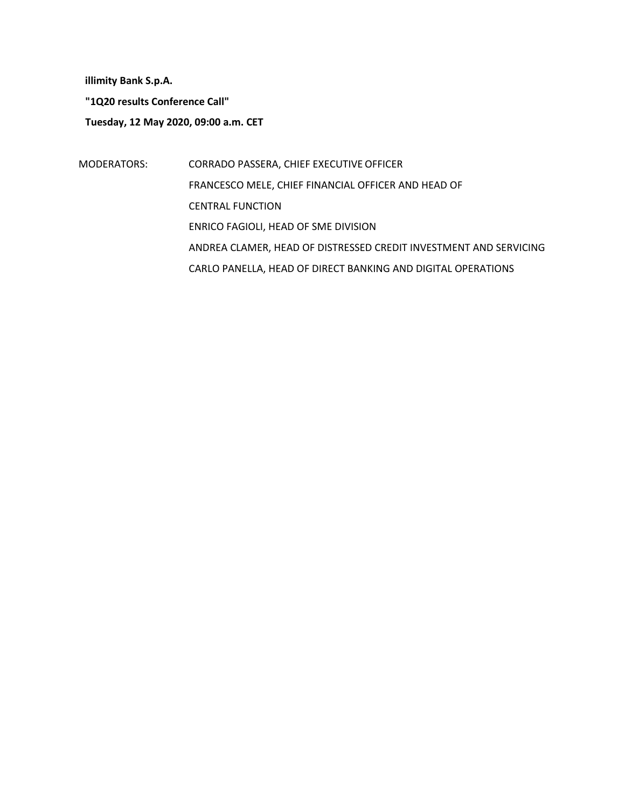**illimity Bank S.p.A.**

**"1Q20 results Conference Call"**

**Tuesday, 12 May 2020, 09:00 a.m. CET**

MODERATORS: CORRADO PASSERA, CHIEF EXECUTIVE OFFICER FRANCESCO MELE, CHIEF FINANCIAL OFFICER AND HEAD OF CENTRAL FUNCTION ENRICO FAGIOLI, HEAD OF SME DIVISION ANDREA CLAMER, HEAD OF DISTRESSED CREDIT INVESTMENT AND SERVICING CARLO PANELLA, HEAD OF DIRECT BANKING AND DIGITAL OPERATIONS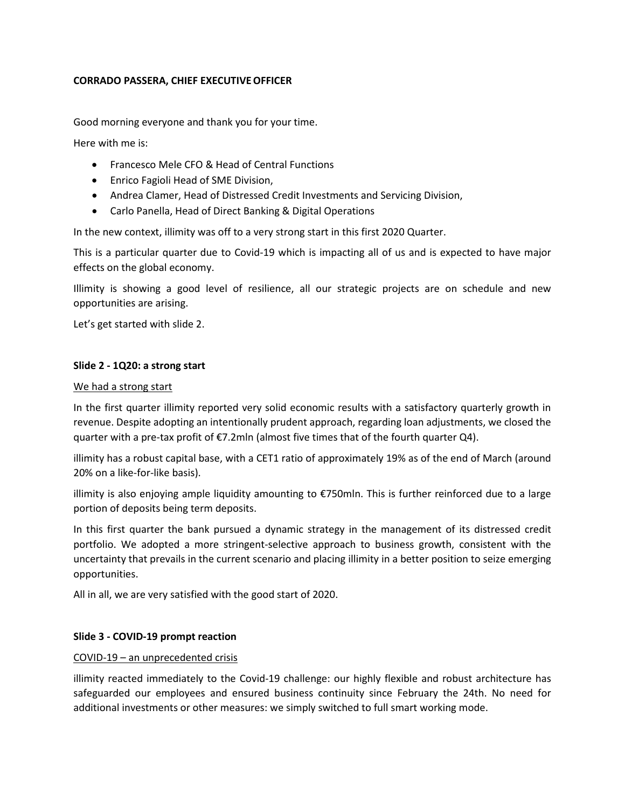## **CORRADO PASSERA, CHIEF EXECUTIVEOFFICER**

Good morning everyone and thank you for your time.

Here with me is:

- Francesco Mele CFO & Head of Central Functions
- Enrico Fagioli Head of SME Division,
- Andrea Clamer, Head of Distressed Credit Investments and Servicing Division,
- Carlo Panella, Head of Direct Banking & Digital Operations

In the new context, illimity was off to a very strong start in this first 2020 Quarter.

This is a particular quarter due to Covid-19 which is impacting all of us and is expected to have major effects on the global economy.

Illimity is showing a good level of resilience, all our strategic projects are on schedule and new opportunities are arising.

Let's get started with slide 2.

### **Slide 2 - 1Q20: a strong start**

#### We had a strong start

In the first quarter illimity reported very solid economic results with a satisfactory quarterly growth in revenue. Despite adopting an intentionally prudent approach, regarding loan adjustments, we closed the quarter with a pre-tax profit of  $\epsilon$ 7.2mln (almost five times that of the fourth quarter Q4).

illimity has a robust capital base, with a CET1 ratio of approximately 19% as of the end of March (around 20% on a like-for-like basis).

illimity is also enjoying ample liquidity amounting to €750mln. This is further reinforced due to a large portion of deposits being term deposits.

In this first quarter the bank pursued a dynamic strategy in the management of its distressed credit portfolio. We adopted a more stringent-selective approach to business growth, consistent with the uncertainty that prevails in the current scenario and placing illimity in a better position to seize emerging opportunities.

All in all, we are very satisfied with the good start of 2020.

### **Slide 3 - COVID-19 prompt reaction**

#### COVID-19 – an unprecedented crisis

illimity reacted immediately to the Covid-19 challenge: our highly flexible and robust architecture has safeguarded our employees and ensured business continuity since February the 24th. No need for additional investments or other measures: we simply switched to full smart working mode.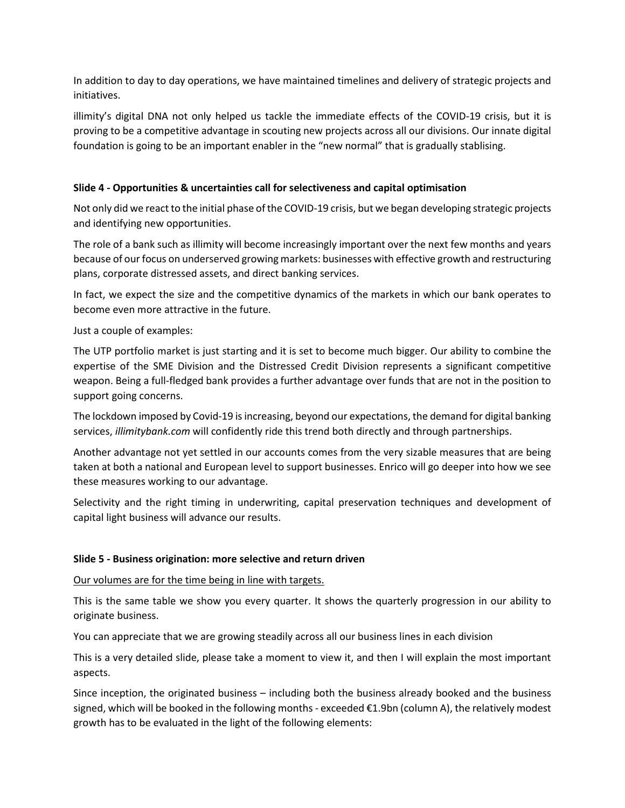In addition to day to day operations, we have maintained timelines and delivery of strategic projects and initiatives.

illimity's digital DNA not only helped us tackle the immediate effects of the COVID-19 crisis, but it is proving to be a competitive advantage in scouting new projects across all our divisions. Our innate digital foundation is going to be an important enabler in the "new normal" that is gradually stablising.

# **Slide 4 - Opportunities & uncertainties call for selectiveness and capital optimisation**

Not only did we react to the initial phase of the COVID-19 crisis, but we began developing strategic projects and identifying new opportunities.

The role of a bank such as illimity will become increasingly important over the next few months and years because of our focus on underserved growing markets: businesses with effective growth and restructuring plans, corporate distressed assets, and direct banking services.

In fact, we expect the size and the competitive dynamics of the markets in which our bank operates to become even more attractive in the future.

Just a couple of examples:

The UTP portfolio market is just starting and it is set to become much bigger. Our ability to combine the expertise of the SME Division and the Distressed Credit Division represents a significant competitive weapon. Being a full-fledged bank provides a further advantage over funds that are not in the position to support going concerns.

The lockdown imposed by Covid-19 is increasing, beyond our expectations, the demand for digital banking services, *illimitybank.com* will confidently ride this trend both directly and through partnerships.

Another advantage not yet settled in our accounts comes from the very sizable measures that are being taken at both a national and European level to support businesses. Enrico will go deeper into how we see these measures working to our advantage.

Selectivity and the right timing in underwriting, capital preservation techniques and development of capital light business will advance our results.

### **Slide 5 - Business origination: more selective and return driven**

Our volumes are for the time being in line with targets.

This is the same table we show you every quarter. It shows the quarterly progression in our ability to originate business.

You can appreciate that we are growing steadily across all our business lines in each division

This is a very detailed slide, please take a moment to view it, and then I will explain the most important aspects.

Since inception, the originated business – including both the business already booked and the business signed, which will be booked in the following months - exceeded €1.9bn (column A), the relatively modest growth has to be evaluated in the light of the following elements: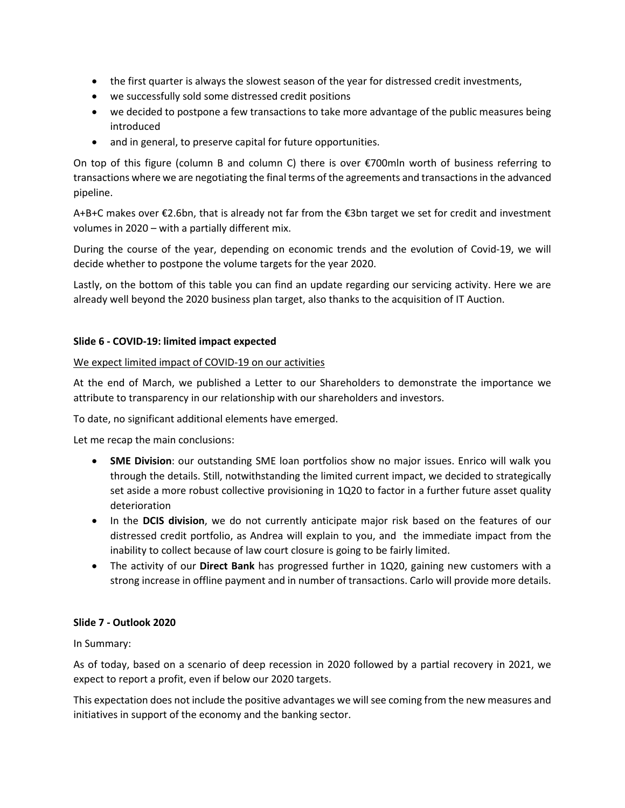- the first quarter is always the slowest season of the year for distressed credit investments,
- we successfully sold some distressed credit positions
- we decided to postpone a few transactions to take more advantage of the public measures being introduced
- and in general, to preserve capital for future opportunities.

On top of this figure (column B and column C) there is over €700mln worth of business referring to transactions where we are negotiating the final terms of the agreements and transactions in the advanced pipeline.

A+B+C makes over €2.6bn, that is already not far from the €3bn target we set for credit and investment volumes in 2020 – with a partially different mix.

During the course of the year, depending on economic trends and the evolution of Covid-19, we will decide whether to postpone the volume targets for the year 2020.

Lastly, on the bottom of this table you can find an update regarding our servicing activity. Here we are already well beyond the 2020 business plan target, also thanks to the acquisition of IT Auction.

## **Slide 6 - COVID-19: limited impact expected**

## We expect limited impact of COVID-19 on our activities

At the end of March, we published a Letter to our Shareholders to demonstrate the importance we attribute to transparency in our relationship with our shareholders and investors.

To date, no significant additional elements have emerged.

Let me recap the main conclusions:

- **SME Division**: our outstanding SME loan portfolios show no major issues. Enrico will walk you through the details. Still, notwithstanding the limited current impact, we decided to strategically set aside a more robust collective provisioning in 1Q20 to factor in a further future asset quality deterioration
- In the **DCIS division**, we do not currently anticipate major risk based on the features of our distressed credit portfolio, as Andrea will explain to you, and the immediate impact from the inability to collect because of law court closure is going to be fairly limited.
- The activity of our **Direct Bank** has progressed further in 1Q20, gaining new customers with a strong increase in offline payment and in number of transactions. Carlo will provide more details.

### **Slide 7 - Outlook 2020**

In Summary:

As of today, based on a scenario of deep recession in 2020 followed by a partial recovery in 2021, we expect to report a profit, even if below our 2020 targets.

This expectation does not include the positive advantages we will see coming from the new measures and initiatives in support of the economy and the banking sector.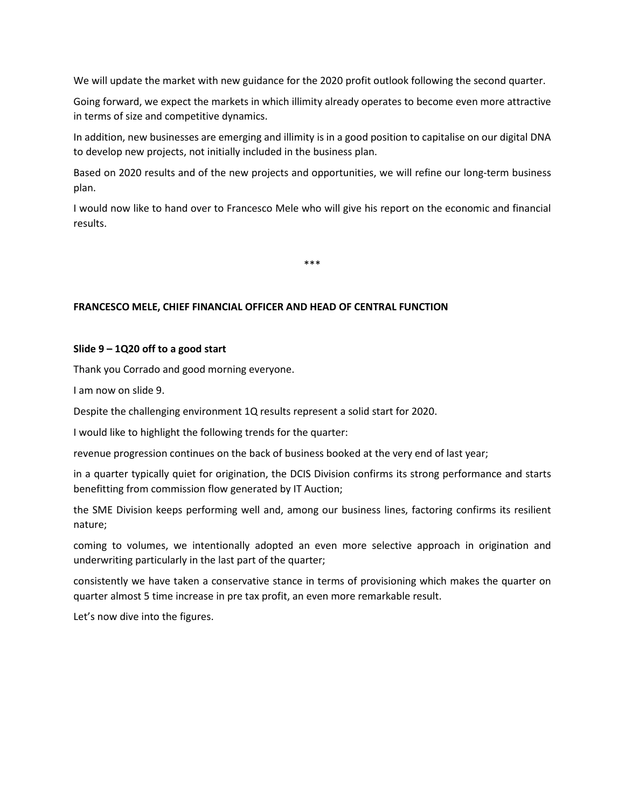We will update the market with new guidance for the 2020 profit outlook following the second quarter.

Going forward, we expect the markets in which illimity already operates to become even more attractive in terms of size and competitive dynamics.

In addition, new businesses are emerging and illimity is in a good position to capitalise on our digital DNA to develop new projects, not initially included in the business plan.

Based on 2020 results and of the new projects and opportunities, we will refine our long-term business plan.

I would now like to hand over to Francesco Mele who will give his report on the economic and financial results.

\*\*\*

### **FRANCESCO MELE, CHIEF FINANCIAL OFFICER AND HEAD OF CENTRAL FUNCTION**

#### **Slide 9 – 1Q20 off to a good start**

Thank you Corrado and good morning everyone.

I am now on slide 9.

Despite the challenging environment 1Q results represent a solid start for 2020.

I would like to highlight the following trends for the quarter:

revenue progression continues on the back of business booked at the very end of last year;

in a quarter typically quiet for origination, the DCIS Division confirms its strong performance and starts benefitting from commission flow generated by IT Auction;

the SME Division keeps performing well and, among our business lines, factoring confirms its resilient nature;

coming to volumes, we intentionally adopted an even more selective approach in origination and underwriting particularly in the last part of the quarter;

consistently we have taken a conservative stance in terms of provisioning which makes the quarter on quarter almost 5 time increase in pre tax profit, an even more remarkable result.

Let's now dive into the figures.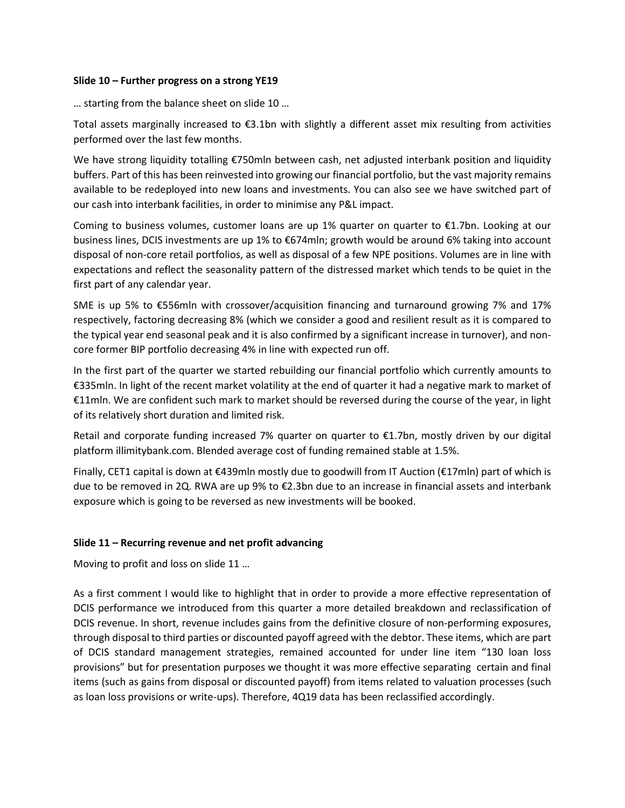### **Slide 10 – Further progress on a strong YE19**

… starting from the balance sheet on slide 10 …

Total assets marginally increased to €3.1bn with slightly a different asset mix resulting from activities performed over the last few months.

We have strong liquidity totalling €750mln between cash, net adjusted interbank position and liquidity buffers. Part of this has been reinvested into growing our financial portfolio, but the vast majority remains available to be redeployed into new loans and investments. You can also see we have switched part of our cash into interbank facilities, in order to minimise any P&L impact.

Coming to business volumes, customer loans are up 1% quarter on quarter to  $\epsilon$ 1.7bn. Looking at our business lines, DCIS investments are up 1% to €674mln; growth would be around 6% taking into account disposal of non-core retail portfolios, as well as disposal of a few NPE positions. Volumes are in line with expectations and reflect the seasonality pattern of the distressed market which tends to be quiet in the first part of any calendar year.

SME is up 5% to €556mln with crossover/acquisition financing and turnaround growing 7% and 17% respectively, factoring decreasing 8% (which we consider a good and resilient result as it is compared to the typical year end seasonal peak and it is also confirmed by a significant increase in turnover), and noncore former BIP portfolio decreasing 4% in line with expected run off.

In the first part of the quarter we started rebuilding our financial portfolio which currently amounts to €335mln. In light of the recent market volatility at the end of quarter it had a negative mark to market of €11mln. We are confident such mark to market should be reversed during the course of the year, in light of its relatively short duration and limited risk.

Retail and corporate funding increased 7% quarter on quarter to €1.7bn, mostly driven by our digital platform illimitybank.com. Blended average cost of funding remained stable at 1.5%.

Finally, CET1 capital is down at €439mln mostly due to goodwill from IT Auction (€17mln) part of which is due to be removed in 2Q. RWA are up 9% to €2.3bn due to an increase in financial assets and interbank exposure which is going to be reversed as new investments will be booked.

### **Slide 11 – Recurring revenue and net profit advancing**

Moving to profit and loss on slide 11 …

As a first comment I would like to highlight that in order to provide a more effective representation of DCIS performance we introduced from this quarter a more detailed breakdown and reclassification of DCIS revenue. In short, revenue includes gains from the definitive closure of non-performing exposures, through disposal to third parties or discounted payoff agreed with the debtor. These items, which are part of DCIS standard management strategies, remained accounted for under line item "130 loan loss provisions" but for presentation purposes we thought it was more effective separating certain and final items (such as gains from disposal or discounted payoff) from items related to valuation processes (such as loan loss provisions or write-ups). Therefore, 4Q19 data has been reclassified accordingly.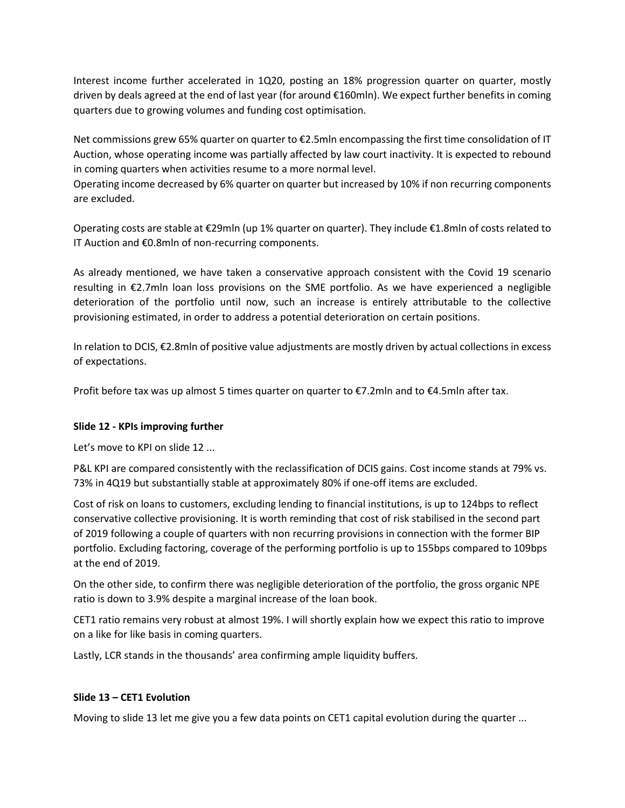Interest income further accelerated in 1Q20, posting an 18% progression quarter on quarter, mostly driven by deals agreed at the end of last year (for around €160mln). We expect further benefits in coming quarters due to growing volumes and funding cost optimisation.

Net commissions grew 65% quarter on quarter to €2.5mln encompassing the first time consolidation of IT Auction, whose operating income was partially affected by law court inactivity. It is expected to rebound in coming quarters when activities resume to a more normal level.

Operating income decreased by 6% quarter on quarter but increased by 10% if non recurring components are excluded.

Operating costs are stable at €29mln (up 1% quarter on quarter). They include €1.8mln of costs related to IT Auction and €0.8mln of non-recurring components.

As already mentioned, we have taken a conservative approach consistent with the Covid 19 scenario resulting in €2.7mln loan loss provisions on the SME portfolio. As we have experienced a negligible deterioration of the portfolio until now, such an increase is entirely attributable to the collective provisioning estimated, in order to address a potential deterioration on certain positions.

In relation to DCIS, €2.8mln of positive value adjustments are mostly driven by actual collections in excess of expectations.

Profit before tax was up almost 5 times quarter on quarter to €7.2mln and to €4.5mln after tax.

# **Slide 12 - KPIs improving further**

Let's move to KPI on slide 12 ...

P&L KPI are compared consistently with the reclassification of DCIS gains. Cost income stands at 79% vs. 73% in 4Q19 but substantially stable at approximately 80% if one-off items are excluded.

Cost of risk on loans to customers, excluding lending to financial institutions, is up to 124bps to reflect conservative collective provisioning. It is worth reminding that cost of risk stabilised in the second part of 2019 following a couple of quarters with non recurring provisions in connection with the former BIP portfolio. Excluding factoring, coverage of the performing portfolio is up to 155bps compared to 109bps at the end of 2019.

On the other side, to confirm there was negligible deterioration of the portfolio, the gross organic NPE ratio is down to 3.9% despite a marginal increase of the loan book.

CET1 ratio remains very robust at almost 19%. I will shortly explain how we expect this ratio to improve on a like for like basis in coming quarters.

Lastly, LCR stands in the thousands' area confirming ample liquidity buffers.

### **Slide 13 – CET1 Evolution**

Moving to slide 13 let me give you a few data points on CET1 capital evolution during the quarter ...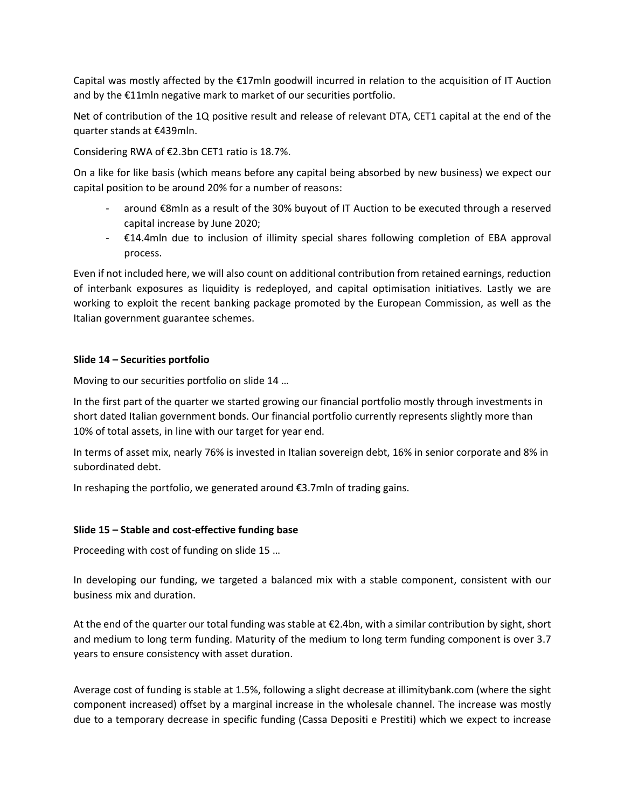Capital was mostly affected by the €17mln goodwill incurred in relation to the acquisition of IT Auction and by the €11mln negative mark to market of our securities portfolio.

Net of contribution of the 1Q positive result and release of relevant DTA, CET1 capital at the end of the quarter stands at €439mln.

Considering RWA of €2.3bn CET1 ratio is 18.7%.

On a like for like basis (which means before any capital being absorbed by new business) we expect our capital position to be around 20% for a number of reasons:

- around €8mln as a result of the 30% buyout of IT Auction to be executed through a reserved capital increase by June 2020;
- €14.4mln due to inclusion of illimity special shares following completion of EBA approval process.

Even if not included here, we will also count on additional contribution from retained earnings, reduction of interbank exposures as liquidity is redeployed, and capital optimisation initiatives. Lastly we are working to exploit the recent banking package promoted by the European Commission, as well as the Italian government guarantee schemes.

### **Slide 14 – Securities portfolio**

Moving to our securities portfolio on slide 14 …

In the first part of the quarter we started growing our financial portfolio mostly through investments in short dated Italian government bonds. Our financial portfolio currently represents slightly more than 10% of total assets, in line with our target for year end.

In terms of asset mix, nearly 76% is invested in Italian sovereign debt, 16% in senior corporate and 8% in subordinated debt.

In reshaping the portfolio, we generated around €3.7mln of trading gains.

### **Slide 15 – Stable and cost-effective funding base**

Proceeding with cost of funding on slide 15 …

In developing our funding, we targeted a balanced mix with a stable component, consistent with our business mix and duration.

At the end of the quarter our total funding was stable at €2.4bn, with a similar contribution by sight, short and medium to long term funding. Maturity of the medium to long term funding component is over 3.7 years to ensure consistency with asset duration.

Average cost of funding is stable at 1.5%, following a slight decrease at illimitybank.com (where the sight component increased) offset by a marginal increase in the wholesale channel. The increase was mostly due to a temporary decrease in specific funding (Cassa Depositi e Prestiti) which we expect to increase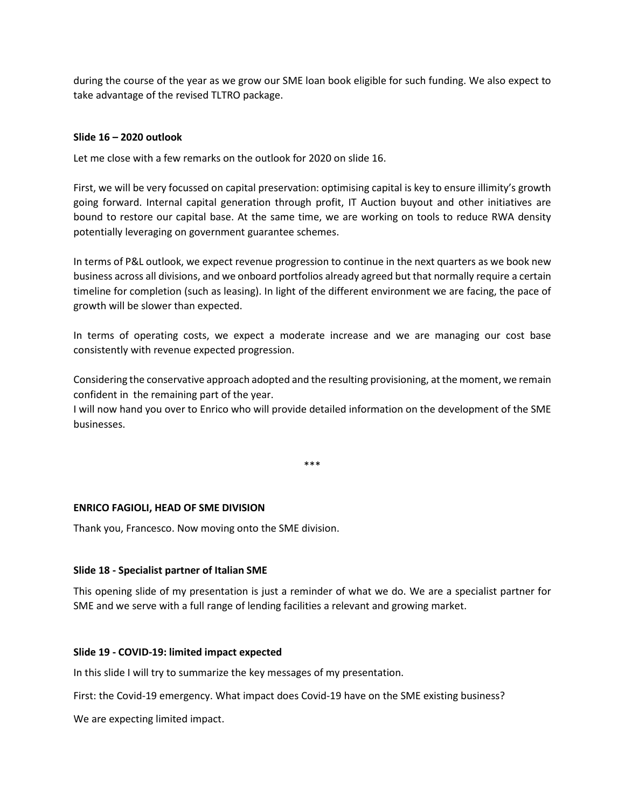during the course of the year as we grow our SME loan book eligible for such funding. We also expect to take advantage of the revised TLTRO package.

## **Slide 16 – 2020 outlook**

Let me close with a few remarks on the outlook for 2020 on slide 16.

First, we will be very focussed on capital preservation: optimising capital is key to ensure illimity's growth going forward. Internal capital generation through profit, IT Auction buyout and other initiatives are bound to restore our capital base. At the same time, we are working on tools to reduce RWA density potentially leveraging on government guarantee schemes.

In terms of P&L outlook, we expect revenue progression to continue in the next quarters as we book new business across all divisions, and we onboard portfolios already agreed but that normally require a certain timeline for completion (such as leasing). In light of the different environment we are facing, the pace of growth will be slower than expected.

In terms of operating costs, we expect a moderate increase and we are managing our cost base consistently with revenue expected progression.

Considering the conservative approach adopted and the resulting provisioning, at the moment, we remain confident in the remaining part of the year.

I will now hand you over to Enrico who will provide detailed information on the development of the SME businesses.

\*\*\*

### **ENRICO FAGIOLI, HEAD OF SME DIVISION**

Thank you, Francesco. Now moving onto the SME division.

#### **Slide 18 - Specialist partner of Italian SME**

This opening slide of my presentation is just a reminder of what we do. We are a specialist partner for SME and we serve with a full range of lending facilities a relevant and growing market.

#### **Slide 19 - COVID-19: limited impact expected**

In this slide I will try to summarize the key messages of my presentation.

First: the Covid-19 emergency. What impact does Covid-19 have on the SME existing business?

We are expecting limited impact.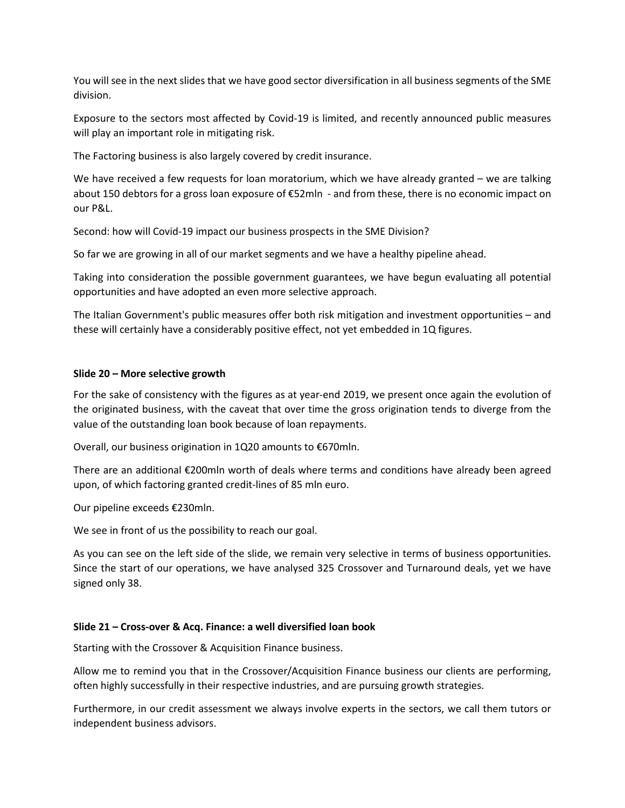You will see in the next slides that we have good sector diversification in all business segments of the SME division.

Exposure to the sectors most affected by Covid-19 is limited, and recently announced public measures will play an important role in mitigating risk.

The Factoring business is also largely covered by credit insurance.

We have received a few requests for loan moratorium, which we have already granted – we are talking about 150 debtors for a gross loan exposure of €52mln - and from these, there is no economic impact on our P&L.

Second: how will Covid-19 impact our business prospects in the SME Division?

So far we are growing in all of our market segments and we have a healthy pipeline ahead.

Taking into consideration the possible government guarantees, we have begun evaluating all potential opportunities and have adopted an even more selective approach.

The Italian Government's public measures offer both risk mitigation and investment opportunities – and these will certainly have a considerably positive effect, not yet embedded in 1Q figures.

### **Slide 20 – More selective growth**

For the sake of consistency with the figures as at year-end 2019, we present once again the evolution of the originated business, with the caveat that over time the gross origination tends to diverge from the value of the outstanding loan book because of loan repayments.

Overall, our business origination in 1Q20 amounts to €670mln.

There are an additional €200mln worth of deals where terms and conditions have already been agreed upon, of which factoring granted credit-lines of 85 mln euro.

Our pipeline exceeds €230mln.

We see in front of us the possibility to reach our goal.

As you can see on the left side of the slide, we remain very selective in terms of business opportunities. Since the start of our operations, we have analysed 325 Crossover and Turnaround deals, yet we have signed only 38.

#### **Slide 21 – Cross-over & Acq. Finance: a well diversified loan book**

Starting with the Crossover & Acquisition Finance business.

Allow me to remind you that in the Crossover/Acquisition Finance business our clients are performing, often highly successfully in their respective industries, and are pursuing growth strategies.

Furthermore, in our credit assessment we always involve experts in the sectors, we call them tutors or independent business advisors.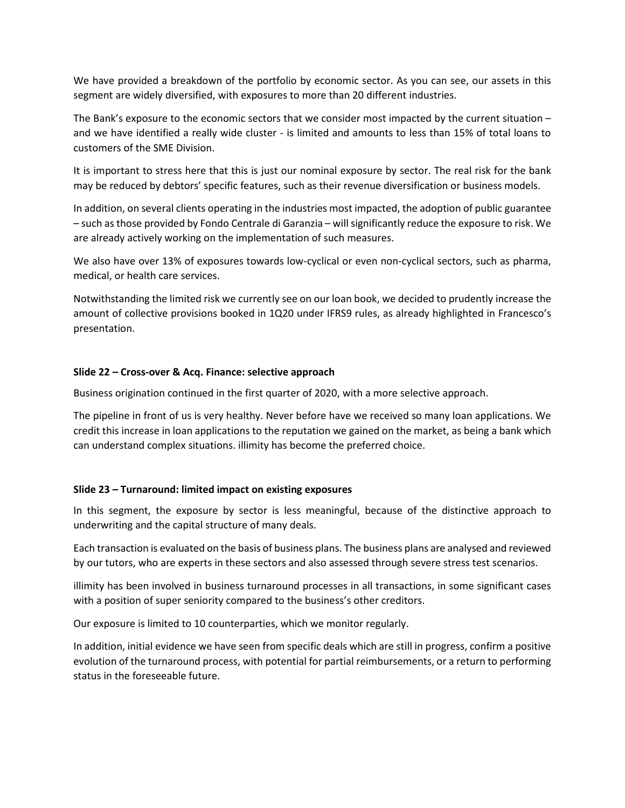We have provided a breakdown of the portfolio by economic sector. As you can see, our assets in this segment are widely diversified, with exposures to more than 20 different industries.

The Bank's exposure to the economic sectors that we consider most impacted by the current situation – and we have identified a really wide cluster - is limited and amounts to less than 15% of total loans to customers of the SME Division.

It is important to stress here that this is just our nominal exposure by sector. The real risk for the bank may be reduced by debtors' specific features, such as their revenue diversification or business models.

In addition, on several clients operating in the industries most impacted, the adoption of public guarantee – such as those provided by Fondo Centrale di Garanzia – will significantly reduce the exposure to risk. We are already actively working on the implementation of such measures.

We also have over 13% of exposures towards low-cyclical or even non-cyclical sectors, such as pharma, medical, or health care services.

Notwithstanding the limited risk we currently see on our loan book, we decided to prudently increase the amount of collective provisions booked in 1Q20 under IFRS9 rules, as already highlighted in Francesco's presentation.

### **Slide 22 – Cross-over & Acq. Finance: selective approach**

Business origination continued in the first quarter of 2020, with a more selective approach.

The pipeline in front of us is very healthy. Never before have we received so many loan applications. We credit this increase in loan applications to the reputation we gained on the market, as being a bank which can understand complex situations. illimity has become the preferred choice.

### **Slide 23 – Turnaround: limited impact on existing exposures**

In this segment, the exposure by sector is less meaningful, because of the distinctive approach to underwriting and the capital structure of many deals.

Each transaction is evaluated on the basis of business plans. The business plans are analysed and reviewed by our tutors, who are experts in these sectors and also assessed through severe stress test scenarios.

illimity has been involved in business turnaround processes in all transactions, in some significant cases with a position of super seniority compared to the business's other creditors.

Our exposure is limited to 10 counterparties, which we monitor regularly.

In addition, initial evidence we have seen from specific deals which are still in progress, confirm a positive evolution of the turnaround process, with potential for partial reimbursements, or a return to performing status in the foreseeable future.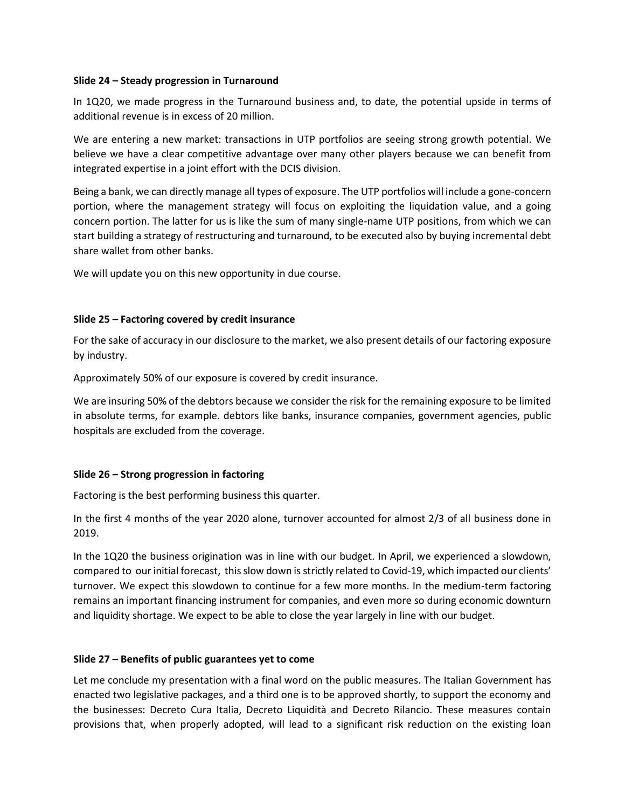#### **Slide 24 – Steady progression in Turnaround**

In 1Q20, we made progress in the Turnaround business and, to date, the potential upside in terms of additional revenue is in excess of 20 million.

We are entering a new market: transactions in UTP portfolios are seeing strong growth potential. We believe we have a clear competitive advantage over many other players because we can benefit from integrated expertise in a joint effort with the DCIS division.

Being a bank, we can directly manage all types of exposure. The UTP portfolios will include a gone-concern portion, where the management strategy will focus on exploiting the liquidation value, and a going concern portion. The latter for us is like the sum of many single-name UTP positions, from which we can start building a strategy of restructuring and turnaround, to be executed also by buying incremental debt share wallet from other banks.

We will update you on this new opportunity in due course.

### **Slide 25 – Factoring covered by credit insurance**

For the sake of accuracy in our disclosure to the market, we also present details of our factoring exposure by industry.

Approximately 50% of our exposure is covered by credit insurance.

We are insuring 50% of the debtors because we consider the risk for the remaining exposure to be limited in absolute terms, for example. debtors like banks, insurance companies, government agencies, public hospitals are excluded from the coverage.

### **Slide 26 – Strong progression in factoring**

Factoring is the best performing business this quarter.

In the first 4 months of the year 2020 alone, turnover accounted for almost 2/3 of all business done in 2019.

In the 1Q20 the business origination was in line with our budget. In April, we experienced a slowdown, compared to our initial forecast, this slow down is strictly related to Covid-19, which impacted our clients' turnover. We expect this slowdown to continue for a few more months. In the medium-term factoring remains an important financing instrument for companies, and even more so during economic downturn and liquidity shortage. We expect to be able to close the year largely in line with our budget.

### **Slide 27 – Benefits of public guarantees yet to come**

Let me conclude my presentation with a final word on the public measures. The Italian Government has enacted two legislative packages, and a third one is to be approved shortly, to support the economy and the businesses: Decreto Cura Italia, Decreto Liquidità and Decreto Rilancio. These measures contain provisions that, when properly adopted, will lead to a significant risk reduction on the existing loan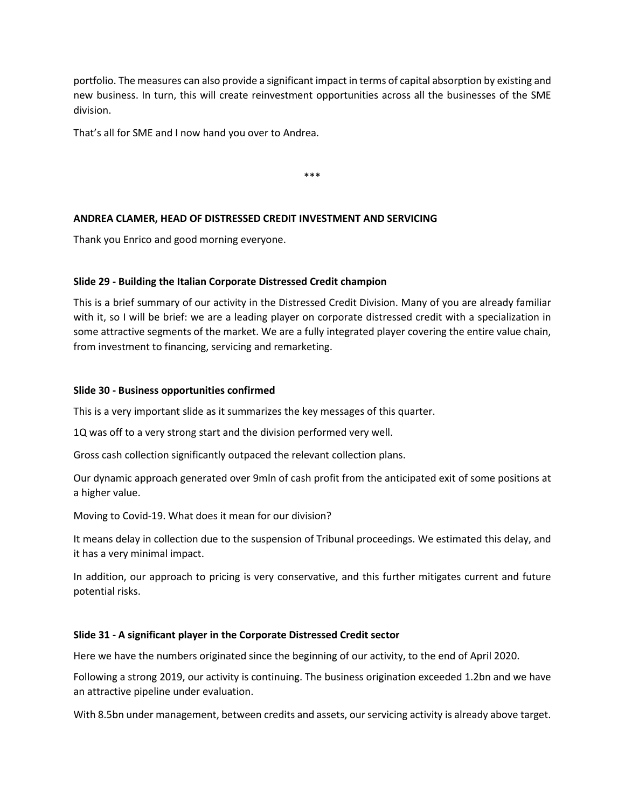portfolio. The measures can also provide a significant impact in terms of capital absorption by existing and new business. In turn, this will create reinvestment opportunities across all the businesses of the SME division.

That's all for SME and I now hand you over to Andrea.

\*\*\*

## **ANDREA CLAMER, HEAD OF DISTRESSED CREDIT INVESTMENT AND SERVICING**

Thank you Enrico and good morning everyone.

### **Slide 29 - Building the Italian Corporate Distressed Credit champion**

This is a brief summary of our activity in the Distressed Credit Division. Many of you are already familiar with it, so I will be brief: we are a leading player on corporate distressed credit with a specialization in some attractive segments of the market. We are a fully integrated player covering the entire value chain, from investment to financing, servicing and remarketing.

### **Slide 30 - Business opportunities confirmed**

This is a very important slide as it summarizes the key messages of this quarter.

1Q was off to a very strong start and the division performed very well.

Gross cash collection significantly outpaced the relevant collection plans.

Our dynamic approach generated over 9mln of cash profit from the anticipated exit of some positions at a higher value.

Moving to Covid-19. What does it mean for our division?

It means delay in collection due to the suspension of Tribunal proceedings. We estimated this delay, and it has a very minimal impact.

In addition, our approach to pricing is very conservative, and this further mitigates current and future potential risks.

### **Slide 31 - A significant player in the Corporate Distressed Credit sector**

Here we have the numbers originated since the beginning of our activity, to the end of April 2020.

Following a strong 2019, our activity is continuing. The business origination exceeded 1.2bn and we have an attractive pipeline under evaluation.

With 8.5bn under management, between credits and assets, our servicing activity is already above target.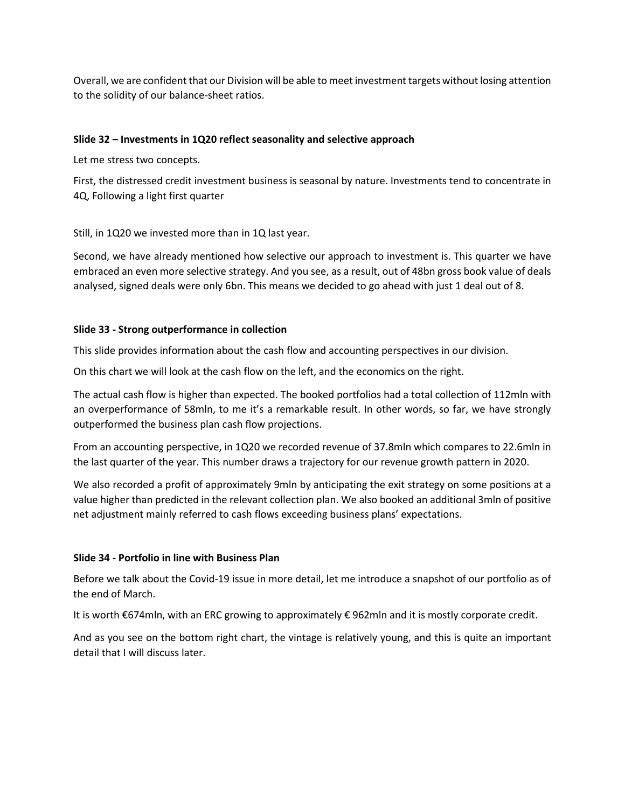Overall, we are confident that our Division will be able to meet investment targets without losing attention to the solidity of our balance-sheet ratios.

### **Slide 32 – Investments in 1Q20 reflect seasonality and selective approach**

Let me stress two concepts.

First, the distressed credit investment business is seasonal by nature. Investments tend to concentrate in 4Q, Following a light first quarter

Still, in 1Q20 we invested more than in 1Q last year.

Second, we have already mentioned how selective our approach to investment is. This quarter we have embraced an even more selective strategy. And you see, as a result, out of 48bn gross book value of deals analysed, signed deals were only 6bn. This means we decided to go ahead with just 1 deal out of 8.

### **Slide 33 - Strong outperformance in collection**

This slide provides information about the cash flow and accounting perspectives in our division.

On this chart we will look at the cash flow on the left, and the economics on the right.

The actual cash flow is higher than expected. The booked portfolios had a total collection of 112mln with an overperformance of 58mln, to me it's a remarkable result. In other words, so far, we have strongly outperformed the business plan cash flow projections.

From an accounting perspective, in 1Q20 we recorded revenue of 37.8mln which compares to 22.6mln in the last quarter of the year. This number draws a trajectory for our revenue growth pattern in 2020.

We also recorded a profit of approximately 9mln by anticipating the exit strategy on some positions at a value higher than predicted in the relevant collection plan. We also booked an additional 3mln of positive net adjustment mainly referred to cash flows exceeding business plans' expectations.

#### **Slide 34 - Portfolio in line with Business Plan**

Before we talk about the Covid-19 issue in more detail, let me introduce a snapshot of our portfolio as of the end of March.

It is worth €674mln, with an ERC growing to approximately € 962mln and it is mostly corporate credit.

And as you see on the bottom right chart, the vintage is relatively young, and this is quite an important detail that I will discuss later.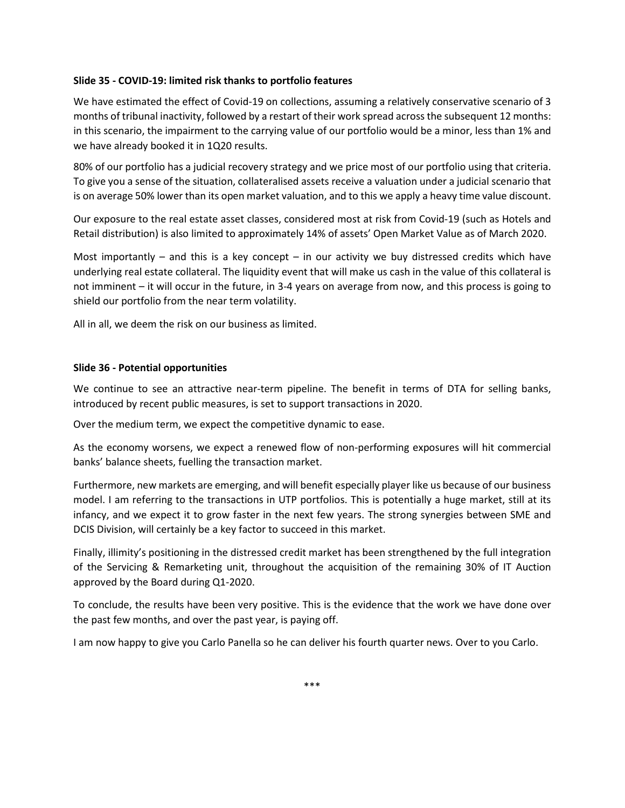### **Slide 35 - COVID-19: limited risk thanks to portfolio features**

We have estimated the effect of Covid-19 on collections, assuming a relatively conservative scenario of 3 months of tribunal inactivity, followed by a restart of their work spread across the subsequent 12 months: in this scenario, the impairment to the carrying value of our portfolio would be a minor, less than 1% and we have already booked it in 1Q20 results.

80% of our portfolio has a judicial recovery strategy and we price most of our portfolio using that criteria. To give you a sense of the situation, collateralised assets receive a valuation under a judicial scenario that is on average 50% lower than its open market valuation, and to this we apply a heavy time value discount.

Our exposure to the real estate asset classes, considered most at risk from Covid-19 (such as Hotels and Retail distribution) is also limited to approximately 14% of assets' Open Market Value as of March 2020.

Most importantly – and this is a key concept – in our activity we buy distressed credits which have underlying real estate collateral. The liquidity event that will make us cash in the value of this collateral is not imminent – it will occur in the future, in 3-4 years on average from now, and this process is going to shield our portfolio from the near term volatility.

All in all, we deem the risk on our business as limited.

### **Slide 36 - Potential opportunities**

We continue to see an attractive near-term pipeline. The benefit in terms of DTA for selling banks, introduced by recent public measures, is set to support transactions in 2020.

Over the medium term, we expect the competitive dynamic to ease.

As the economy worsens, we expect a renewed flow of non-performing exposures will hit commercial banks' balance sheets, fuelling the transaction market.

Furthermore, new markets are emerging, and will benefit especially player like us because of our business model. I am referring to the transactions in UTP portfolios. This is potentially a huge market, still at its infancy, and we expect it to grow faster in the next few years. The strong synergies between SME and DCIS Division, will certainly be a key factor to succeed in this market.

Finally, illimity's positioning in the distressed credit market has been strengthened by the full integration of the Servicing & Remarketing unit, throughout the acquisition of the remaining 30% of IT Auction approved by the Board during Q1-2020.

To conclude, the results have been very positive. This is the evidence that the work we have done over the past few months, and over the past year, is paying off.

I am now happy to give you Carlo Panella so he can deliver his fourth quarter news. Over to you Carlo.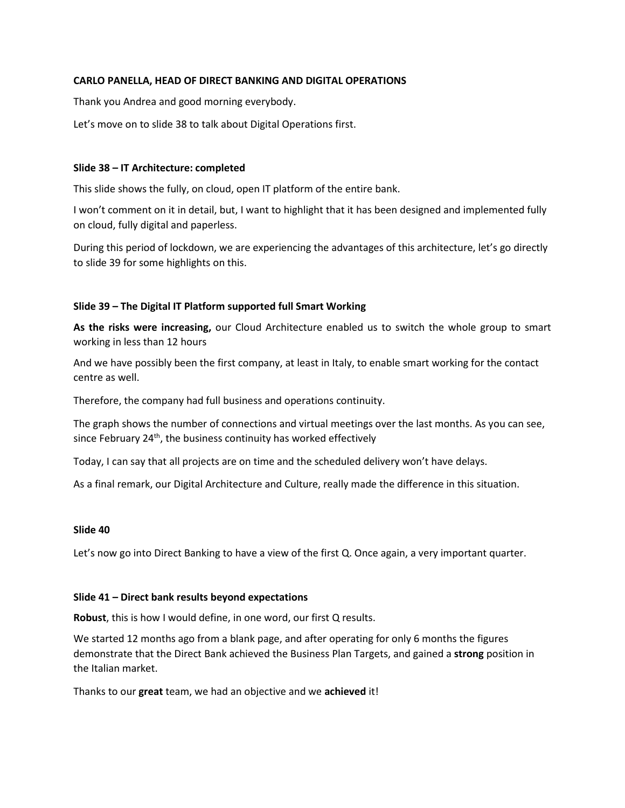## **CARLO PANELLA, HEAD OF DIRECT BANKING AND DIGITAL OPERATIONS**

Thank you Andrea and good morning everybody.

Let's move on to slide 38 to talk about Digital Operations first.

### **Slide 38 – IT Architecture: completed**

This slide shows the fully, on cloud, open IT platform of the entire bank.

I won't comment on it in detail, but, I want to highlight that it has been designed and implemented fully on cloud, fully digital and paperless.

During this period of lockdown, we are experiencing the advantages of this architecture, let's go directly to slide 39 for some highlights on this.

### **Slide 39 – The Digital IT Platform supported full Smart Working**

**As the risks were increasing,** our Cloud Architecture enabled us to switch the whole group to smart working in less than 12 hours

And we have possibly been the first company, at least in Italy, to enable smart working for the contact centre as well.

Therefore, the company had full business and operations continuity.

The graph shows the number of connections and virtual meetings over the last months. As you can see, since February  $24<sup>th</sup>$ , the business continuity has worked effectively

Today, I can say that all projects are on time and the scheduled delivery won't have delays.

As a final remark, our Digital Architecture and Culture, really made the difference in this situation.

#### **Slide 40**

Let's now go into Direct Banking to have a view of the first Q. Once again, a very important quarter.

#### **Slide 41 – Direct bank results beyond expectations**

**Robust**, this is how I would define, in one word, our first Q results.

We started 12 months ago from a blank page, and after operating for only 6 months the figures demonstrate that the Direct Bank achieved the Business Plan Targets, and gained a **strong** position in the Italian market.

Thanks to our **great** team, we had an objective and we **achieved** it!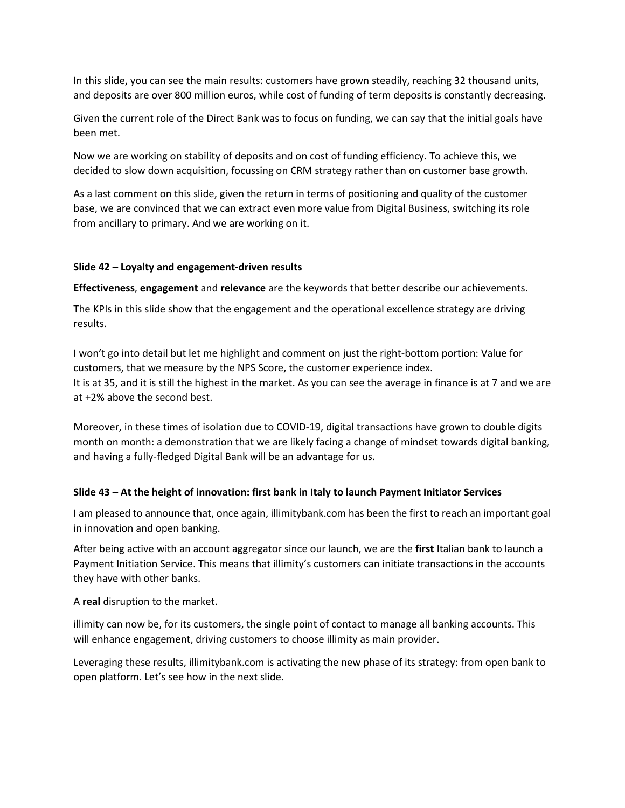In this slide, you can see the main results: customers have grown steadily, reaching 32 thousand units, and deposits are over 800 million euros, while cost of funding of term deposits is constantly decreasing.

Given the current role of the Direct Bank was to focus on funding, we can say that the initial goals have been met.

Now we are working on stability of deposits and on cost of funding efficiency. To achieve this, we decided to slow down acquisition, focussing on CRM strategy rather than on customer base growth.

As a last comment on this slide, given the return in terms of positioning and quality of the customer base, we are convinced that we can extract even more value from Digital Business, switching its role from ancillary to primary. And we are working on it.

## **Slide 42 – Loyalty and engagement-driven results**

**Effectiveness**, **engagement** and **relevance** are the keywords that better describe our achievements.

The KPIs in this slide show that the engagement and the operational excellence strategy are driving results.

I won't go into detail but let me highlight and comment on just the right-bottom portion: Value for customers, that we measure by the NPS Score, the customer experience index. It is at 35, and it is still the highest in the market. As you can see the average in finance is at 7 and we are at +2% above the second best.

Moreover, in these times of isolation due to COVID-19, digital transactions have grown to double digits month on month: a demonstration that we are likely facing a change of mindset towards digital banking, and having a fully-fledged Digital Bank will be an advantage for us.

# **Slide 43 – At the height of innovation: first bank in Italy to launch Payment Initiator Services**

I am pleased to announce that, once again, illimitybank.com has been the first to reach an important goal in innovation and open banking.

After being active with an account aggregator since our launch, we are the **first** Italian bank to launch a Payment Initiation Service. This means that illimity's customers can initiate transactions in the accounts they have with other banks.

A **real** disruption to the market.

illimity can now be, for its customers, the single point of contact to manage all banking accounts. This will enhance engagement, driving customers to choose illimity as main provider.

Leveraging these results, illimitybank.com is activating the new phase of its strategy: from open bank to open platform. Let's see how in the next slide.